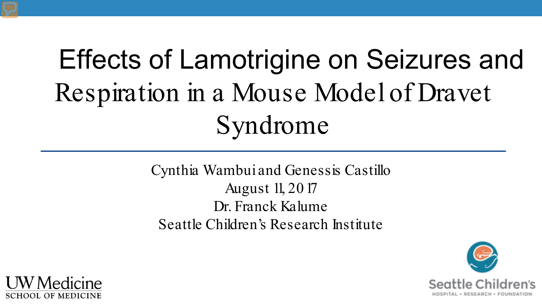## Effects of Lamotrigine on Seizures and Respiration in a Mouse Model of Dravet Syndrome

Cynthia Wambui and Genessis Castillo August 11, 2017 Dr. Franck Kalume Seattle Children's Research Institute



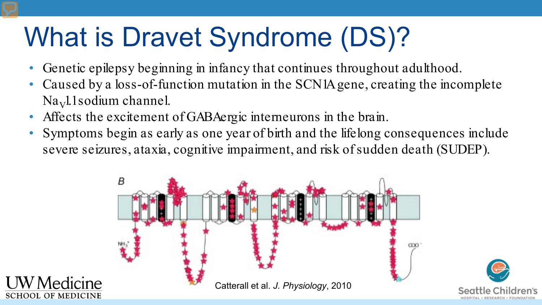## What is Dravet Syndrome (DS)?

- Genetic epilepsy beginning in infancy that continues throughout adulthood.
- Caused by a loss-of-function mutation in the SCN1A gene, creating the incomplete  $Na<sub>V</sub>11$  sodium channel.
- Affects the excitement of GABAergic interneurons in the brain.
- Symptoms begin as early as one year of birth and the lifelong consequences include severe seizures, ataxia, cognitive impairment, and risk of sudden death (SUDEP).

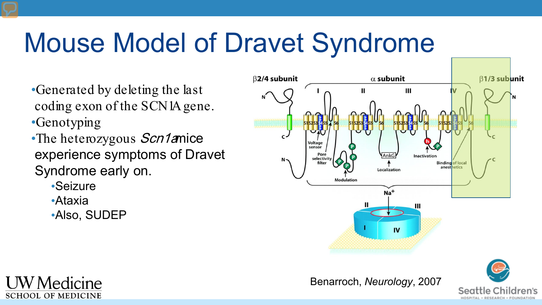## Mouse Model of Dravet Syndrome

- •Generated by deleting the last coding exon of the SCN1A gene. •Genotyping
- •The heterozygous Scn1amice experience symptoms of Dravet Syndrome early on.
	- •Seizure
	- •Ataxia
	- •Also, SUDEP



Benarroch, *Neurology*, 2007

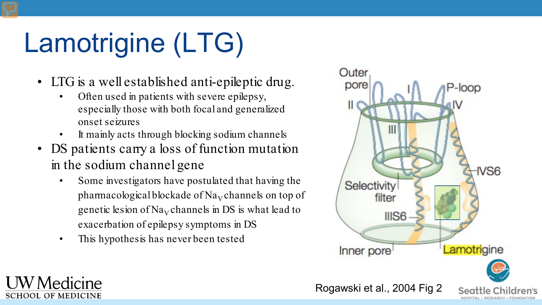## Lamotrigine (LTG)

- LTG is a well established anti-epileptic drug.<br>• Often used in patients with severe epilepsy,
	- especially those with both focal and generalized onset seizures
	- It mainly acts through blocking sodium channels
- DS patients carry a loss of function mutation in the sodium channel gene
	- Some investigators have postulated that having the pharmacological blockade of  $\text{Na}_{\text{V}}$  channels on top of genetic lesion of  $Na<sub>V</sub>$  channels in DS is what lead to exacerbation of epilepsy symptoms in DS
	- This hypothesis has never been tested

V Medicine

**SCHOOL OF MEDICINE** 

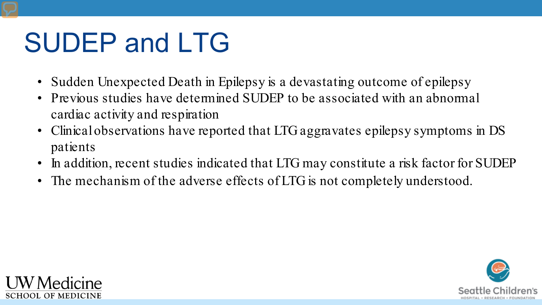## SUDEP and LTG

- Sudden Unexpected Death in Epilepsy is a devastating outcome of epilepsy
- Previous studies have determined SUDEP to be associated with an abnormal cardiac activity and respiration
- Clinical observations have reported that LTG aggravates epilepsy symptoms in DS patients
- In addition, recent studies indicated that LTG may constitute a risk factor for SUDEP
- The mechanism of the adverse effects of LTG is not completely understood.



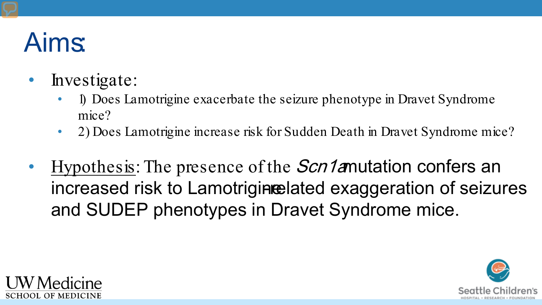## Aims:

- Investigate:
	- 1) Does Lamotrigine exacerbate the seizure phenotype in Dravet Syndrome mice?
	- 2) Does Lamotrigine increase risk for Sudden Death in Dravet Syndrome mice?
- Hypothesis: The presence of the *Scn1a*mutation confers an increased risk to Lamotrigine-lated exaggeration of seizures and SUDEP phenotypes in Dravet Syndrome mice.



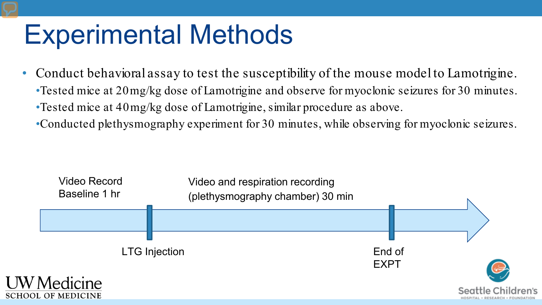## Experimental Methods

- Conduct behavioral assay to test the susceptibility of the mouse model to Lamotrigine.
	- •Tested mice at 20mg/kg dose of Lamotrigine and observe for myoclonic seizures for 30 minutes. •Tested mice at 40mg/kg dose of Lamotrigine, similar procedure as above.
	- •Conducted plethysmography experiment for 30 minutes, while observing for myoclonic seizures.

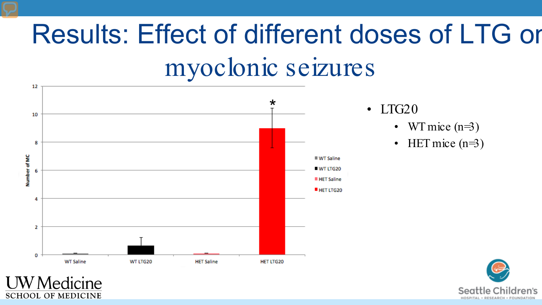# Results: Effect of different doses of LTG on

### myoclonic seizures



**SCHOOL OF MEDICINE** 

- $\cdot$  LTG20
	- WT mice  $(n=3)$
	- HET mice  $(n=3)$

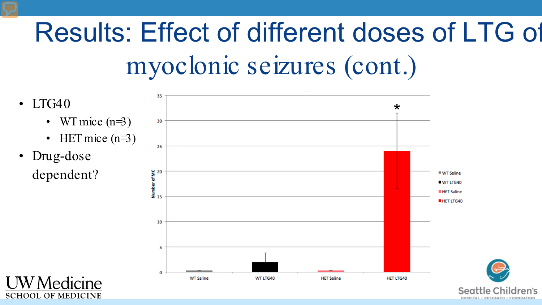## Results: Effect of different doses of LTG of myoclonic seizures (cont.)

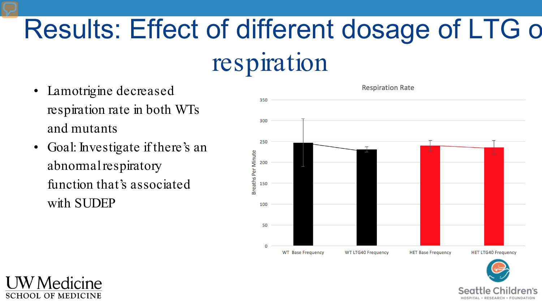## Results: Effect of different dosage of LTG o

#### respiration

- Lamotrigine decreased respiration rate in both WTs and mutants
- Goal: Investigate if there's an abnormal respiratory function that's associated with SUDEP

Medicine

**SCHOOL OF MEDICINE** 



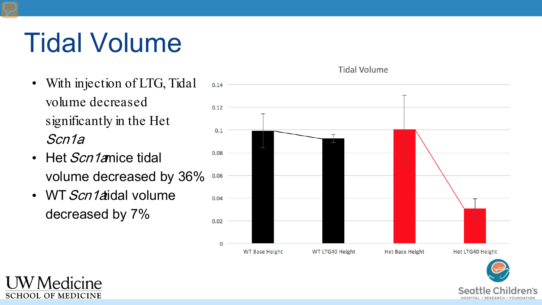## Tidal Volume

- With injection of LTG, Tidal volume decreased significantly in the Het Scn1a.
- Het *Scn1a*mice tidal volume decreased by 36%
- WT  $Scn1$ aidal volume decreased by 7%

Medicine

**SCHOOL OF MEDICINE** 



**Tidal Volume** 

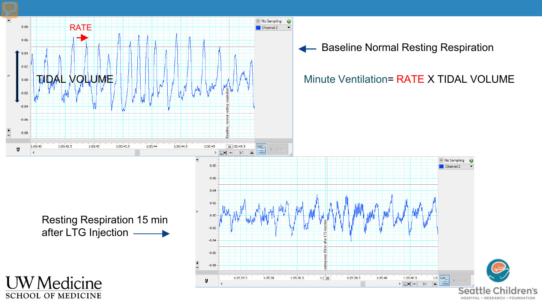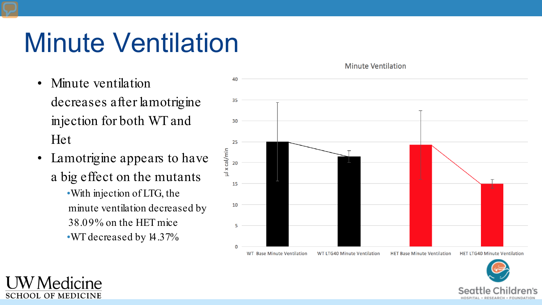## Minute Ventilation

- Minute ventilation decreases after lamotrigine injection for both WT and Het
- Lamotrigine appears to have a big effect on the mutants •With injection of LTG, the minute ventilation decreased by 38.09% on the HET mice •WT decreased by 14.37%

Aedicine

**SCHOOL OF MEDICINE** 



**Minute Ventilation** 

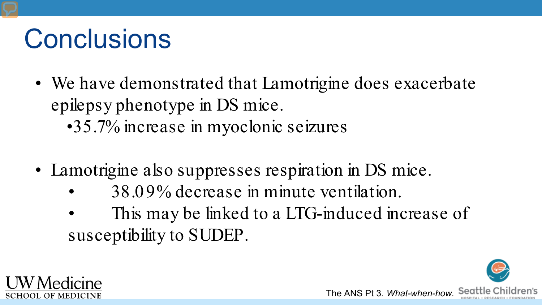## **Conclusions**

- We have demonstrated that Lamotrigine does exacerbate epilepsy phenotype in DS mice. •35.7% increase in myoclonic seizures
- Lamotrigine also suppresses respiration in DS mice.
	- 38.09% decrease in minute ventilation.
	- This may be linked to a LTG-induced increase of susceptibility to SUDEP.

The ANS Pt 3. *What-when-how.*

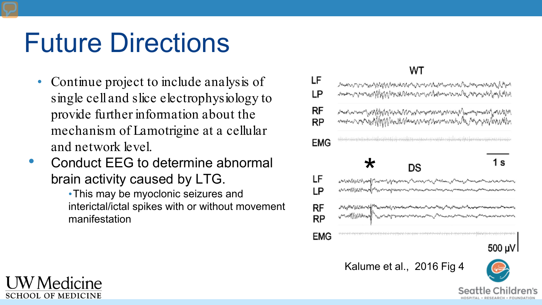## Future Directions

- Continue project to include analysis of single cell and slice electrophysiology to provide further information about the mechanism of Lamotrigine at a cellular and network level.
- Conduct EEG to determine abnormal brain activity caused by LTG.

•This may be myoclonic seizures and interictal/ictal spikes with or without movement manifestation

#### WT

| LF<br>LP | ประเทศการประมานของสมาชิกให้สูงสมาชิกเกี่ยวกับสูงในประมาณภายในประมาณภายในและกรุงเทพมายในสูงได้<br>เมื่อนด้านประโทศเกี่ยวกับสูงสมาชิกให้สูงสมาชิกเกี่ยวกับสูงในประเทศไทยในการประเทศไทย และการประเทศไทยในสูงสมาชิก<br>งการสามารถทางการแก้ได้ให้ได้ให้เป็นการสามารถทางทางการสามารถทางการสามารถทำให้และทำให้เป็นการสามารถทำให้เป็นการส<br>สามารถทางการสามารถทำให้ให้ได้ให้เป็นการสามารถทำให้เหลือนการสามารถทำให้เหลือนการสามารถทำให้เป็นการสามารถทำให้เห |                                                         |
|----------|-----------------------------------------------------------------------------------------------------------------------------------------------------------------------------------------------------------------------------------------------------------------------------------------------------------------------------------------------------------------------------------------------------------------------------------------------------|---------------------------------------------------------|
| RF<br>RP |                                                                                                                                                                                                                                                                                                                                                                                                                                                     |                                                         |
| EMG      | بالإدباب باعترضها وبالإسلام والملوا ويتبايا بالبارة بأسر وتبليلها بالإستراض وباستردامه والملبط والمنابا والماليا بالماضا وموارضا والمتحادث والمتوات<br>$\star$                                                                                                                                                                                                                                                                                      | 1 s                                                     |
|          | DS                                                                                                                                                                                                                                                                                                                                                                                                                                                  |                                                         |
| LF<br>LP | لماما والأليان الأمريعين المستورسة المستعمل المستعمل المستعمل المستعمل المستعمل المستعمل المستعملات المستعمل المستعمل<br>المستعمل المستعمل المستعمل المستعمل المستعمل المستعمل المستعمل المستعملات المستعمل المستعمل المستعمل ال                                                                                                                                                                                                                    |                                                         |
| RF<br>RP | เป็นในที่ได้ได้ได้มาเป็นไปในพระเป็นไปเพราะครอบการสอบแบบการเป็นในแบบการเป็นเพราะกันเพราะครอบการเป็นเพราะกันเพราะ<br>เป็นในที่ได้ได้ได้มาเป็นไปในพระเป็นไปเพราะกันเพราะกันเพราะกันเป็นในการเป็นเพราะกันเพราะกันเพราะกันเพราะกันเพ                                                                                                                                                                                                                     |                                                         |
| EMG      | arbanta adalah karan karakatan perang dengan berangan dan basa mengalam karang berang dan berangan dan banya bahan berang da                                                                                                                                                                                                                                                                                                                        |                                                         |
|          |                                                                                                                                                                                                                                                                                                                                                                                                                                                     | 500 µV                                                  |
|          | Kalume et al., 2016 Fig 4                                                                                                                                                                                                                                                                                                                                                                                                                           | $\bigodot$                                              |
|          |                                                                                                                                                                                                                                                                                                                                                                                                                                                     | $C \sim \sim$ 44 $\sim$ $C$ $\sim$ $\sim$ $\sim$ $\sim$ |

OSPITAL + RESEARCH + EQUINDATION